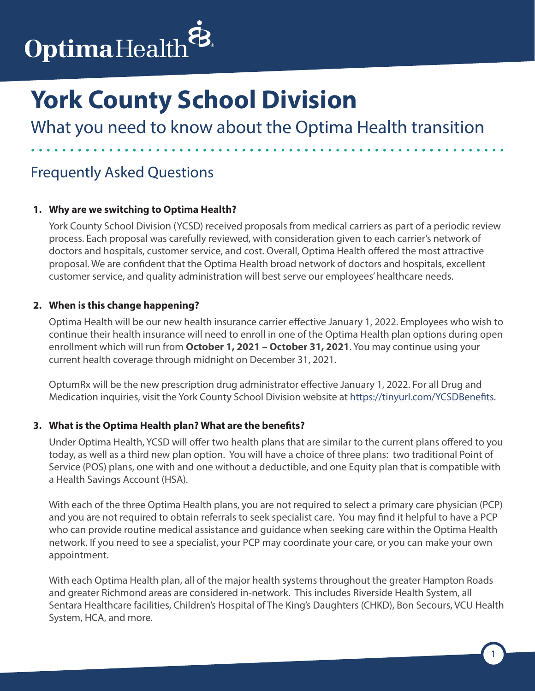

What you need to know about the Optima Health transition

## Frequently Asked Questions

#### **1. Why are we switching to Optima Health?**

York County School Division (YCSD) received proposals from medical carriers as part of a periodic review process. Each proposal was carefully reviewed, with consideration given to each carrier's network of doctors and hospitals, customer service, and cost. Overall, Optima Health offered the most attractive proposal. We are confident that the Optima Health broad network of doctors and hospitals, excellent customer service, and quality administration will best serve our employees' healthcare needs.

#### **2. When is this change happening?**

Optima Health will be our new health insurance carrier effective January 1, 2022. Employees who wish to continue their health insurance will need to enroll in one of the Optima Health plan options during open enrollment which will run from **October 1, 2021 – October 31, 2021**. You may continue using your current health coverage through midnight on December 31, 2021.

OptumRx will be the new prescription drug administrator effective January 1, 2022. For all Drug and Medication inquiries, visit the York County School Division website at https://tinyurl.com/YCSDBenefits.

#### **3. What is the Optima Health plan? What are the benefits?**

Under Optima Health, YCSD will offer two health plans that are similar to the current plans offered to you today, as well as a third new plan option. You will have a choice of three plans: two traditional Point of Service (POS) plans, one with and one without a deductible, and one Equity plan that is compatible with a Health Savings Account (HSA).

With each of the three Optima Health plans, you are not required to select a primary care physician (PCP) and you are not required to obtain referrals to seek specialist care. You may find it helpful to have a PCP who can provide routine medical assistance and guidance when seeking care within the Optima Health network. If you need to see a specialist, your PCP may coordinate your care, or you can make your own appointment.

With each Optima Health plan, all of the major health systems throughout the greater Hampton Roads and greater Richmond areas are considered in-network. This includes Riverside Health System, all Sentara Healthcare facilities, Children's Hospital of The King's Daughters (CHKD), Bon Secours, VCU Health System, HCA, and more.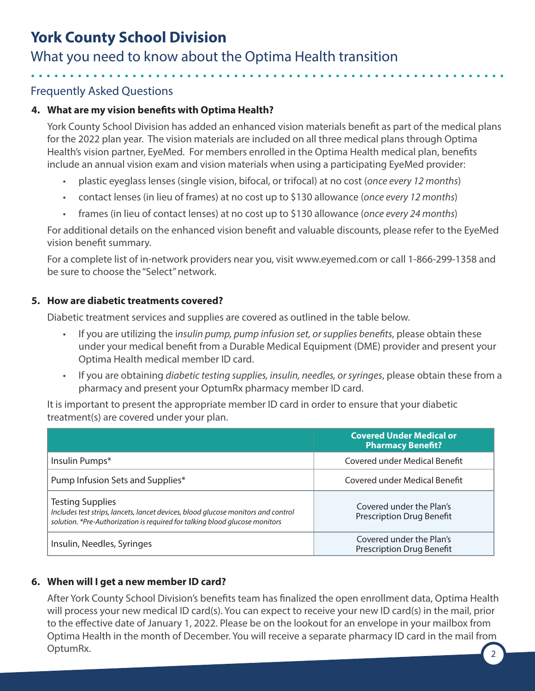## What you need to know about the Optima Health transition

## Frequently Asked Questions

## **4. What are my vision benefits with Optima Health?**

York County School Division has added an enhanced vision materials benefit as part of the medical plans for the 2022 plan year. The vision materials are included on all three medical plans through Optima Health's vision partner, EyeMed. For members enrolled in the Optima Health medical plan, benefits include an annual vision exam and vision materials when using a participating EyeMed provider:

- plastic eyeglass lenses (single vision, bifocal, or trifocal) at no cost (*once every 12 months*)
- contact lenses (in lieu of frames) at no cost up to \$130 allowance (*once every 12 months*)
- frames (in lieu of contact lenses) at no cost up to \$130 allowance (*once every 24 months*)

For additional details on the enhanced vision benefit and valuable discounts, please refer to the EyeMed vision benefit summary.

For a complete list of in-network providers near you, visit www.eyemed.com or call 1-866-299-1358 and be sure to choose the "Select" network.

### **5. How are diabetic treatments covered?**

Diabetic treatment services and supplies are covered as outlined in the table below.

- If you are utilizing the i*nsulin pump, pump infusion set, or supplies benefits*, please obtain these under your medical benefit from a Durable Medical Equipment (DME) provider and present your Optima Health medical member ID card.
- If you are obtaining *diabetic testing supplies, insulin, needles, or syringes*, please obtain these from a pharmacy and present your OptumRx pharmacy member ID card.

It is important to present the appropriate member ID card in order to ensure that your diabetic treatment(s) are covered under your plan.

|                                                                                                                                                                                             | <b>Covered Under Medical or</b><br><b>Pharmacy Benefit?</b>  |
|---------------------------------------------------------------------------------------------------------------------------------------------------------------------------------------------|--------------------------------------------------------------|
| Insulin Pumps*                                                                                                                                                                              | Covered under Medical Benefit                                |
| Pump Infusion Sets and Supplies*                                                                                                                                                            | Covered under Medical Benefit                                |
| <b>Testing Supplies</b><br>Includes test strips, lancets, lancet devices, blood glucose monitors and control<br>solution. *Pre-Authorization is required for talking blood glucose monitors | Covered under the Plan's<br><b>Prescription Drug Benefit</b> |
| Insulin, Needles, Syringes                                                                                                                                                                  | Covered under the Plan's<br><b>Prescription Drug Benefit</b> |

## **6. When will I get a new member ID card?**

2 After York County School Division's benefits team has finalized the open enrollment data, Optima Health will process your new medical ID card(s). You can expect to receive your new ID card(s) in the mail, prior to the effective date of January 1, 2022. Please be on the lookout for an envelope in your mailbox from Optima Health in the month of December. You will receive a separate pharmacy ID card in the mail from OptumRx.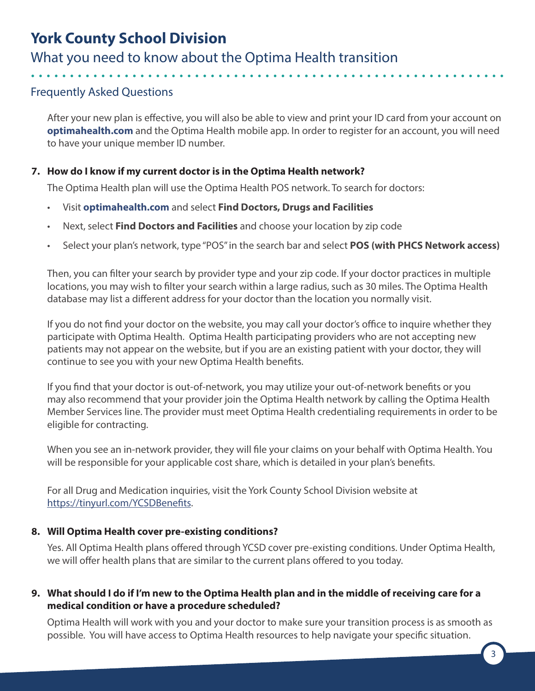## What you need to know about the Optima Health transition

## Frequently Asked Questions

After your new plan is effective, you will also be able to view and print your ID card from your account on **[optimahealth.com](https://www.optimahealth.com)** and the Optima Health mobile app. In order to register for an account, you will need to have your unique member ID number.

## **7. How do I know if my current doctor is in the Optima Health network?**

The Optima Health plan will use the Optima Health POS network. To search for doctors:

- Visit **[optimahealth.com](https://www.optimahealth.com)** and select **Find Doctors, Drugs and Facilities**
- Next, select **Find Doctors and Facilities** and choose your location by zip code
- Select your plan's network, type "POS" in the search bar and select **POS (with PHCS Network access)**

Then, you can filter your search by provider type and your zip code. If your doctor practices in multiple locations, you may wish to filter your search within a large radius, such as 30 miles. The Optima Health database may list a different address for your doctor than the location you normally visit.

If you do not find your doctor on the website, you may call your doctor's office to inquire whether they participate with Optima Health. Optima Health participating providers who are not accepting new patients may not appear on the website, but if you are an existing patient with your doctor, they will continue to see you with your new Optima Health benefits.

If you find that your doctor is out-of-network, you may utilize your out-of-network benefits or you may also recommend that your provider join the Optima Health network by calling the Optima Health Member Services line. The provider must meet Optima Health credentialing requirements in order to be eligible for contracting.

When you see an in-network provider, they will file your claims on your behalf with Optima Health. You will be responsible for your applicable cost share, which is detailed in your plan's benefits.

For all Drug and Medication inquiries, visit the York County School Division website at https://tinyurl.com/YCSDBenefits.

#### **8. Will Optima Health cover pre-existing conditions?**

Yes. All Optima Health plans offered through YCSD cover pre-existing conditions. Under Optima Health, we will offer health plans that are similar to the current plans offered to you today.

### **9. What should I do if I'm new to the Optima Health plan and in the middle of receiving care for a medical condition or have a procedure scheduled?**

Optima Health will work with you and your doctor to make sure your transition process is as smooth as possible. You will have access to Optima Health resources to help navigate your specific situation.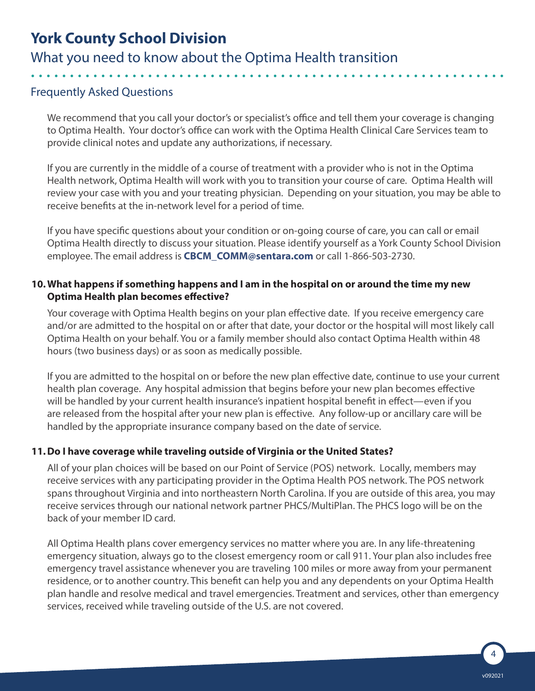What you need to know about the Optima Health transition

## Frequently Asked Questions

We recommend that you call your doctor's or specialist's office and tell them your coverage is changing to Optima Health. Your doctor's office can work with the Optima Health Clinical Care Services team to provide clinical notes and update any authorizations, if necessary.

If you are currently in the middle of a course of treatment with a provider who is not in the Optima Health network, Optima Health will work with you to transition your course of care. Optima Health will review your case with you and your treating physician. Depending on your situation, you may be able to receive benefits at the in-network level for a period of time.

If you have specific questions about your condition or on-going course of care, you can call or email Optima Health directly to discuss your situation. Please identify yourself as a York County School Division employee. The email address is **[CBCM\\_COMM@sentara.com](mailto:CBCM_COMM@sentara.com)** or call 1-866-503-2730.

### **10.What happens if something happens and I am in the hospital on or around the time my new Optima Health plan becomes effective?**

Your coverage with Optima Health begins on your plan effective date. If you receive emergency care and/or are admitted to the hospital on or after that date, your doctor or the hospital will most likely call Optima Health on your behalf. You or a family member should also contact Optima Health within 48 hours (two business days) or as soon as medically possible.

If you are admitted to the hospital on or before the new plan effective date, continue to use your current health plan coverage. Any hospital admission that begins before your new plan becomes effective will be handled by your current health insurance's inpatient hospital benefit in effect—even if you are released from the hospital after your new plan is effective. Any follow-up or ancillary care will be handled by the appropriate insurance company based on the date of service.

## **11.Do I have coverage while traveling outside of Virginia or the United States?**

All of your plan choices will be based on our Point of Service (POS) network. Locally, members may receive services with any participating provider in the Optima Health POS network. The POS network spans throughout Virginia and into northeastern North Carolina. If you are outside of this area, you may receive services through our national network partner PHCS/MultiPlan. The PHCS logo will be on the back of your member ID card.

All Optima Health plans cover emergency services no matter where you are. In any life-threatening emergency situation, always go to the closest emergency room or call 911. Your plan also includes free emergency travel assistance whenever you are traveling 100 miles or more away from your permanent residence, or to another country. This benefit can help you and any dependents on your Optima Health plan handle and resolve medical and travel emergencies. Treatment and services, other than emergency services, received while traveling outside of the U.S. are not covered.

4